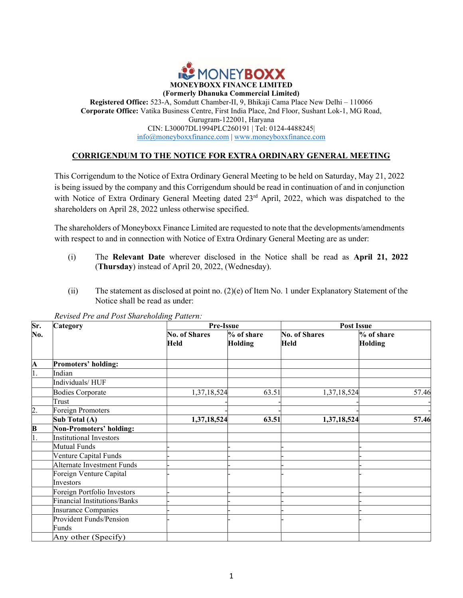

## Registered Office: 523-A, Somdutt Chamber-II, 9, Bhikaji Cama Place New Delhi – 110066 Corporate Office: Vatika Business Centre, First India Place, 2nd Floor, Sushant Lok-1, MG Road, Gurugram-122001, Haryana CIN: L30007DL1994PLC260191 | Tel: 0124-4488245| info@moneyboxxfinance.com | www.moneyboxxfinance.com

## CORRIGENDUM TO THE NOTICE FOR EXTRA ORDINARY GENERAL MEETING

This Corrigendum to the Notice of Extra Ordinary General Meeting to be held on Saturday, May 21, 2022 is being issued by the company and this Corrigendum should be read in continuation of and in conjunction with Notice of Extra Ordinary General Meeting dated 23<sup>rd</sup> April, 2022, which was dispatched to the shareholders on April 28, 2022 unless otherwise specified.

The shareholders of Moneyboxx Finance Limited are requested to note that the developments/amendments with respect to and in connection with Notice of Extra Ordinary General Meeting are as under:

- (i) The Relevant Date wherever disclosed in the Notice shall be read as April 21, 2022 (Thursday) instead of April 20, 2022, (Wednesday).
- (ii) The statement as disclosed at point no. (2)(e) of Item No. 1 under Explanatory Statement of the Notice shall be read as under:

| Sr. | Category                       | Pre-Issue                    |                          | <b>Post Issue</b>                   |                          |  |  |
|-----|--------------------------------|------------------------------|--------------------------|-------------------------------------|--------------------------|--|--|
| No. |                                | <b>No. of Shares</b><br>Held | $\%$ of share<br>Holding | <b>No. of Shares</b><br><b>Held</b> | $\%$ of share<br>Holding |  |  |
| A   | Promoters' holding:            |                              |                          |                                     |                          |  |  |
|     | Indian                         |                              |                          |                                     |                          |  |  |
|     | Individuals/HUF                |                              |                          |                                     |                          |  |  |
|     | <b>Bodies Corporate</b>        | 1,37,18,524                  | 63.51                    | 1,37,18,524                         | 57.46                    |  |  |
|     | Trust                          |                              |                          |                                     |                          |  |  |
| 2.  | Foreign Promoters              |                              |                          |                                     |                          |  |  |
|     | Sub Total (A)                  | 1,37,18,524                  | 63.51                    | 1,37,18,524                         | 57.46                    |  |  |
| B   | <b>Non-Promoters' holding:</b> |                              |                          |                                     |                          |  |  |
|     | <b>Institutional Investors</b> |                              |                          |                                     |                          |  |  |
|     | Mutual Funds                   |                              |                          |                                     |                          |  |  |
|     | Venture Capital Funds          |                              |                          |                                     |                          |  |  |
|     | Alternate Investment Funds     |                              |                          |                                     |                          |  |  |
|     | Foreign Venture Capital        |                              |                          |                                     |                          |  |  |
|     | Investors                      |                              |                          |                                     |                          |  |  |
|     | Foreign Portfolio Investors    |                              |                          |                                     |                          |  |  |
|     | Financial Institutions/Banks   |                              |                          |                                     |                          |  |  |
|     | Insurance Companies            |                              |                          |                                     |                          |  |  |
|     | Provident Funds/Pension        |                              |                          |                                     |                          |  |  |
|     | Funds                          |                              |                          |                                     |                          |  |  |
|     | Any other (Specify)            |                              |                          |                                     |                          |  |  |

Revised Pre and Post Shareholding Pattern: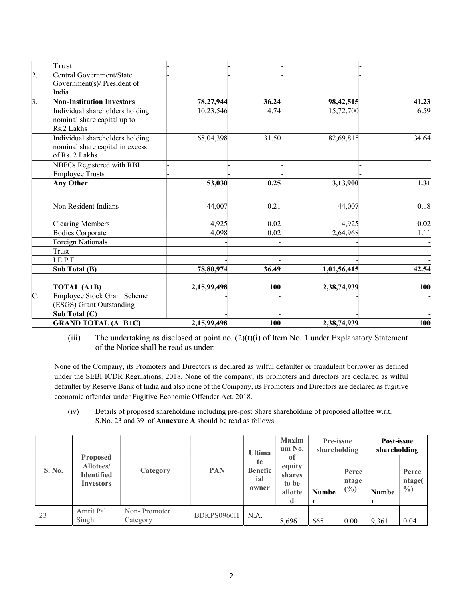|                  | Trust                                                                                |                        |               |                        |               |
|------------------|--------------------------------------------------------------------------------------|------------------------|---------------|------------------------|---------------|
| $\overline{2}$ . | Central Government/State<br>Government(s)/ President of                              |                        |               |                        |               |
|                  | India                                                                                |                        |               |                        |               |
| $\beta$ .        | <b>Non-Institution Investors</b><br>Individual shareholders holding                  | 78,27,944<br>10,23,546 | 36.24<br>4.74 | 98,42,515<br>15,72,700 | 41.23<br>6.59 |
|                  | nominal share capital up to<br>Rs.2 Lakhs                                            |                        |               |                        |               |
|                  | Individual shareholders holding<br>nominal share capital in excess<br>of Rs. 2 Lakhs | 68,04,398              | 31.50         | 82,69,815              | 34.64         |
|                  | NBFCs Registered with RBI                                                            |                        |               |                        |               |
|                  | Employee Trusts                                                                      |                        |               |                        |               |
|                  | <b>Any Other</b>                                                                     | 53,030                 | 0.25          | 3,13,900               | 1.31          |
|                  | Non Resident Indians                                                                 | 44,007                 | 0.21          | 44,007                 | 0.18          |
|                  | Clearing Members                                                                     | 4,925                  | 0.02          | 4,925                  | 0.02          |
|                  | <b>Bodies Corporate</b>                                                              | 4,098                  | 0.02          | 2,64,968               | 1.11          |
|                  | Foreign Nationals                                                                    |                        |               |                        |               |
|                  | Trust                                                                                |                        |               |                        |               |
|                  | IEPF                                                                                 |                        |               |                        |               |
|                  | Sub Total (B)                                                                        | 78,80,974              | 36.49         | 1,01,56,415            | 42.54         |
|                  | TOTAL (A+B)                                                                          | 2,15,99,498            | 100           | 2,38,74,939            | 100           |
| $\overline{C}$ . | Employee Stock Grant Scheme                                                          |                        |               |                        |               |
|                  | (ESGS) Grant Outstanding                                                             |                        |               |                        |               |
|                  | Sub Total (C)                                                                        |                        |               |                        |               |
|                  | <b>GRAND TOTAL (A+B+C)</b>                                                           | 2,15,99,498            | <b>100</b>    | 2,38,74,939            | 100           |

(iii) The undertaking as disclosed at point no.  $(2)(t)(i)$  of Item No. 1 under Explanatory Statement of the Notice shall be read as under:

None of the Company, its Promoters and Directors is declared as wilful defaulter or fraudulent borrower as defined under the SEBI ICDR Regulations, 2018. None of the company, its promoters and directors are declared as wilful defaulter by Reserve Bank of India and also none of the Company, its Promoters and Directors are declared as fugitive economic offender under Fugitive Economic Offender Act, 2018.

(iv) Details of proposed shareholding including pre-post Share shareholding of proposed allottee w.r.t. S.No. 23 and 39 of Annexure A should be read as follows:

|        | <b>Proposed</b><br><b>Allotees</b> /<br><b>Identified</b><br><b>Investors</b> | Category                 | <b>PAN</b> | <b>Ultima</b><br>te<br><b>Benefic</b><br>ial<br>owner | <b>Maxim</b><br>um No.                            | Pre-issue<br>shareholding |                         | Post-issue<br>shareholding |                                  |
|--------|-------------------------------------------------------------------------------|--------------------------|------------|-------------------------------------------------------|---------------------------------------------------|---------------------------|-------------------------|----------------------------|----------------------------------|
| S. No. |                                                                               |                          |            |                                                       | 01<br>equity<br><b>shares</b><br>to be<br>allotte | <b>Numbe</b>              | Perce<br>ntage<br>(9/0) | <b>Numbe</b>               | Perce<br>ntage(<br>$\frac{0}{0}$ |
| 23     | Amrit Pal<br>Singh                                                            | Non-Promoter<br>Category | BDKPS0960H | N.A.                                                  | 8,696                                             | 665                       | 0.00                    | 9,361                      | 0.04                             |